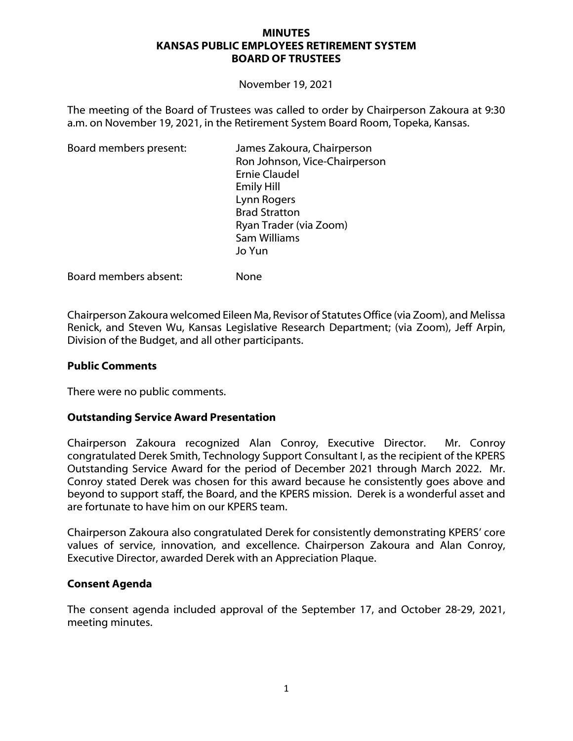#### **MINUTES KANSAS PUBLIC EMPLOYEES RETIREMENT SYSTEM BOARD OF TRUSTEES**

November 19, 2021

The meeting of the Board of Trustees was called to order by Chairperson Zakoura at 9:30 a.m. on November 19, 2021, in the Retirement System Board Room, Topeka, Kansas.

| Board members present: | James Zakoura, Chairperson<br>Ron Johnson, Vice-Chairperson |
|------------------------|-------------------------------------------------------------|
|                        | <b>Ernie Claudel</b>                                        |
|                        | <b>Emily Hill</b>                                           |
|                        | Lynn Rogers                                                 |
|                        | <b>Brad Stratton</b>                                        |
|                        | Ryan Trader (via Zoom)                                      |
|                        | Sam Williams                                                |
|                        | Jo Yun                                                      |
|                        |                                                             |

Board members absent: None

Chairperson Zakoura welcomed Eileen Ma, Revisor of Statutes Office (via Zoom), and Melissa Renick, and Steven Wu, Kansas Legislative Research Department; (via Zoom), Jeff Arpin, Division of the Budget, and all other participants.

#### **Public Comments**

There were no public comments.

#### **Outstanding Service Award Presentation**

Chairperson Zakoura recognized Alan Conroy, Executive Director. Mr. Conroy congratulated Derek Smith, Technology Support Consultant I, as the recipient of the KPERS Outstanding Service Award for the period of December 2021 through March 2022. Mr. Conroy stated Derek was chosen for this award because he consistently goes above and beyond to support staff, the Board, and the KPERS mission. Derek is a wonderful asset and are fortunate to have him on our KPERS team.

Chairperson Zakoura also congratulated Derek for consistently demonstrating KPERS' core values of service, innovation, and excellence. Chairperson Zakoura and Alan Conroy, Executive Director, awarded Derek with an Appreciation Plaque.

#### **Consent Agenda**

The consent agenda included approval of the September 17, and October 28-29, 2021, meeting minutes.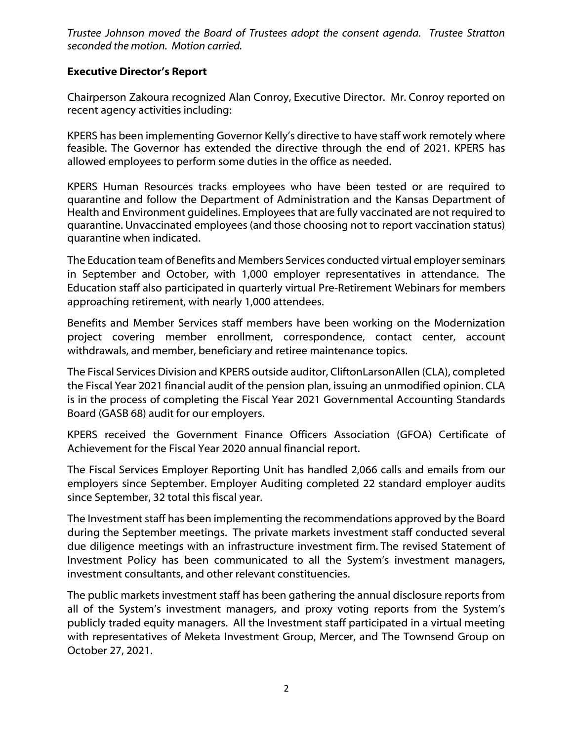*Trustee Johnson moved the Board of Trustees adopt the consent agenda. Trustee Stratton seconded the motion. Motion carried.*

# **Executive Director's Report**

Chairperson Zakoura recognized Alan Conroy, Executive Director. Mr. Conroy reported on recent agency activities including:

KPERS has been implementing Governor Kelly's directive to have staff work remotely where feasible. The Governor has extended the directive through the end of 2021. KPERS has allowed employees to perform some duties in the office as needed.

KPERS Human Resources tracks employees who have been tested or are required to quarantine and follow the Department of Administration and the Kansas Department of Health and Environment guidelines. Employees that are fully vaccinated are not required to quarantine. Unvaccinated employees (and those choosing not to report vaccination status) quarantine when indicated.

The Education team of Benefits and Members Services conducted virtual employer seminars in September and October, with 1,000 employer representatives in attendance. The Education staff also participated in quarterly virtual Pre-Retirement Webinars for members approaching retirement, with nearly 1,000 attendees.

Benefits and Member Services staff members have been working on the Modernization project covering member enrollment, correspondence, contact center, account withdrawals, and member, beneficiary and retiree maintenance topics.

The Fiscal Services Division and KPERS outside auditor, CliftonLarsonAllen (CLA), completed the Fiscal Year 2021 financial audit of the pension plan, issuing an unmodified opinion. CLA is in the process of completing the Fiscal Year 2021 Governmental Accounting Standards Board (GASB 68) audit for our employers.

KPERS received the Government Finance Officers Association (GFOA) Certificate of Achievement for the Fiscal Year 2020 annual financial report.

The Fiscal Services Employer Reporting Unit has handled 2,066 calls and emails from our employers since September. Employer Auditing completed 22 standard employer audits since September, 32 total this fiscal year.

The Investment staff has been implementing the recommendations approved by the Board during the September meetings. The private markets investment staff conducted several due diligence meetings with an infrastructure investment firm. The revised Statement of Investment Policy has been communicated to all the System's investment managers, investment consultants, and other relevant constituencies.

The public markets investment staff has been gathering the annual disclosure reports from all of the System's investment managers, and proxy voting reports from the System's publicly traded equity managers. All the Investment staff participated in a virtual meeting with representatives of Meketa Investment Group, Mercer, and The Townsend Group on October 27, 2021.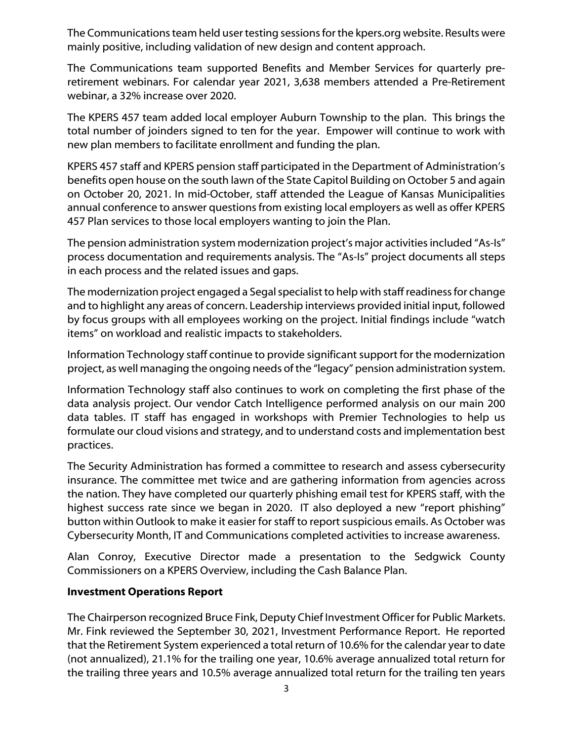The Communications team held user testing sessions for the kpers.org website. Results were mainly positive, including validation of new design and content approach.

The Communications team supported Benefits and Member Services for quarterly preretirement webinars. For calendar year 2021, 3,638 members attended a Pre-Retirement webinar, a 32% increase over 2020.

The KPERS 457 team added local employer Auburn Township to the plan. This brings the total number of joinders signed to ten for the year. Empower will continue to work with new plan members to facilitate enrollment and funding the plan.

KPERS 457 staff and KPERS pension staff participated in the Department of Administration's benefits open house on the south lawn of the State Capitol Building on October 5 and again on October 20, 2021. In mid-October, staff attended the League of Kansas Municipalities annual conference to answer questions from existing local employers as well as offer KPERS 457 Plan services to those local employers wanting to join the Plan.

The pension administration system modernization project's major activities included "As-Is" process documentation and requirements analysis. The "As-Is" project documents all steps in each process and the related issues and gaps.

The modernization project engaged a Segal specialist to help with staff readiness for change and to highlight any areas of concern. Leadership interviews provided initial input, followed by focus groups with all employees working on the project. Initial findings include "watch items" on workload and realistic impacts to stakeholders.

Information Technology staff continue to provide significant support for the modernization project, as well managing the ongoing needs of the "legacy" pension administration system.

Information Technology staff also continues to work on completing the first phase of the data analysis project. Our vendor Catch Intelligence performed analysis on our main 200 data tables. IT staff has engaged in workshops with Premier Technologies to help us formulate our cloud visions and strategy, and to understand costs and implementation best practices.

The Security Administration has formed a committee to research and assess cybersecurity insurance. The committee met twice and are gathering information from agencies across the nation. They have completed our quarterly phishing email test for KPERS staff, with the highest success rate since we began in 2020. IT also deployed a new "report phishing" button within Outlook to make it easier for staff to report suspicious emails. As October was Cybersecurity Month, IT and Communications completed activities to increase awareness.

Alan Conroy, Executive Director made a presentation to the Sedgwick County Commissioners on a KPERS Overview, including the Cash Balance Plan.

### **Investment Operations Report**

The Chairperson recognized Bruce Fink, Deputy Chief Investment Officer for Public Markets. Mr. Fink reviewed the September 30, 2021, Investment Performance Report. He reported that the Retirement System experienced a total return of 10.6% for the calendar year to date (not annualized), 21.1% for the trailing one year, 10.6% average annualized total return for the trailing three years and 10.5% average annualized total return for the trailing ten years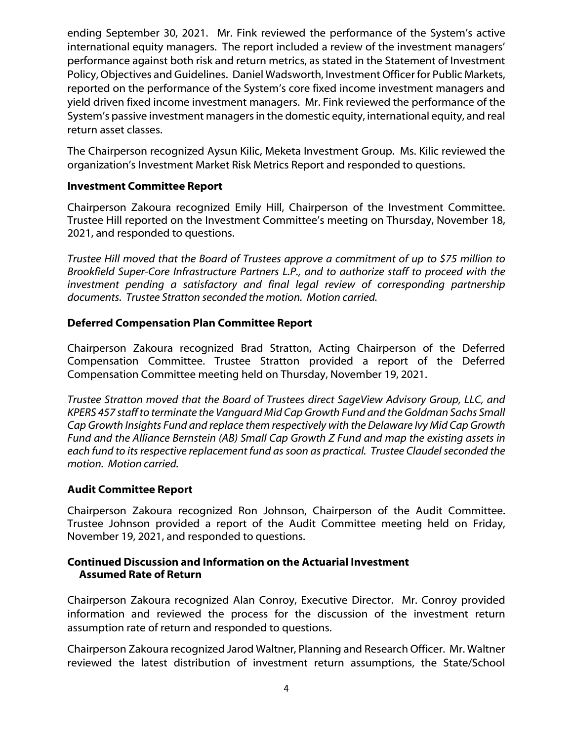ending September 30, 2021. Mr. Fink reviewed the performance of the System's active international equity managers. The report included a review of the investment managers' performance against both risk and return metrics, as stated in the Statement of Investment Policy, Objectives and Guidelines. Daniel Wadsworth, Investment Officer for Public Markets, reported on the performance of the System's core fixed income investment managers and yield driven fixed income investment managers. Mr. Fink reviewed the performance of the System's passive investment managers in the domestic equity, international equity, and real return asset classes.

The Chairperson recognized Aysun Kilic, Meketa Investment Group. Ms. Kilic reviewed the organization's Investment Market Risk Metrics Report and responded to questions.

### **Investment Committee Report**

Chairperson Zakoura recognized Emily Hill, Chairperson of the Investment Committee. Trustee Hill reported on the Investment Committee's meeting on Thursday, November 18, 2021, and responded to questions.

*Trustee Hill moved that the Board of Trustees approve a commitment of up to \$75 million to Brookfield Super-Core Infrastructure Partners L.P., and to authorize staff to proceed with the investment pending a satisfactory and final legal review of corresponding partnership documents. Trustee Stratton seconded the motion. Motion carried.*

# **Deferred Compensation Plan Committee Report**

Chairperson Zakoura recognized Brad Stratton, Acting Chairperson of the Deferred Compensation Committee. Trustee Stratton provided a report of the Deferred Compensation Committee meeting held on Thursday, November 19, 2021.

*Trustee Stratton moved that the Board of Trustees direct SageView Advisory Group, LLC, and KPERS 457 staff to terminate the Vanguard Mid Cap Growth Fund and the Goldman Sachs Small Cap Growth Insights Fund and replace them respectively with the Delaware Ivy Mid Cap Growth Fund and the Alliance Bernstein (AB) Small Cap Growth Z Fund and map the existing assets in each fund to its respective replacement fund as soon as practical. Trustee Claudel seconded the motion. Motion carried.*

### **Audit Committee Report**

Chairperson Zakoura recognized Ron Johnson, Chairperson of the Audit Committee. Trustee Johnson provided a report of the Audit Committee meeting held on Friday, November 19, 2021, and responded to questions.

### **Continued Discussion and Information on the Actuarial Investment Assumed Rate of Return**

Chairperson Zakoura recognized Alan Conroy, Executive Director. Mr. Conroy provided information and reviewed the process for the discussion of the investment return assumption rate of return and responded to questions.

Chairperson Zakoura recognized Jarod Waltner, Planning and Research Officer. Mr. Waltner reviewed the latest distribution of investment return assumptions, the State/School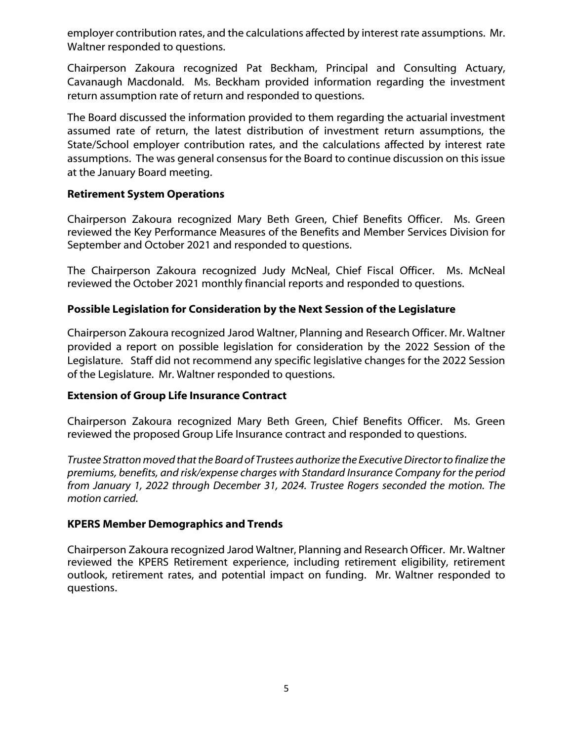employer contribution rates, and the calculations affected by interest rate assumptions. Mr. Waltner responded to questions.

Chairperson Zakoura recognized Pat Beckham, Principal and Consulting Actuary, Cavanaugh Macdonald. Ms. Beckham provided information regarding the investment return assumption rate of return and responded to questions.

The Board discussed the information provided to them regarding the actuarial investment assumed rate of return, the latest distribution of investment return assumptions, the State/School employer contribution rates, and the calculations affected by interest rate assumptions. The was general consensus for the Board to continue discussion on this issue at the January Board meeting.

### **Retirement System Operations**

Chairperson Zakoura recognized Mary Beth Green, Chief Benefits Officer. Ms. Green reviewed the Key Performance Measures of the Benefits and Member Services Division for September and October 2021 and responded to questions.

The Chairperson Zakoura recognized Judy McNeal, Chief Fiscal Officer. Ms. McNeal reviewed the October 2021 monthly financial reports and responded to questions.

# **Possible Legislation for Consideration by the Next Session of the Legislature**

Chairperson Zakoura recognized Jarod Waltner, Planning and Research Officer. Mr. Waltner provided a report on possible legislation for consideration by the 2022 Session of the Legislature. Staff did not recommend any specific legislative changes for the 2022 Session of the Legislature. Mr. Waltner responded to questions.

### **Extension of Group Life Insurance Contract**

Chairperson Zakoura recognized Mary Beth Green, Chief Benefits Officer. Ms. Green reviewed the proposed Group Life Insurance contract and responded to questions.

*Trustee Stratton moved that the Board of Trustees authorize the Executive Director to finalize the premiums, benefits, and risk/expense charges with Standard Insurance Company for the period from January 1, 2022 through December 31, 2024. Trustee Rogers seconded the motion. The motion carried.*

### **KPERS Member Demographics and Trends**

Chairperson Zakoura recognized Jarod Waltner, Planning and Research Officer. Mr. Waltner reviewed the KPERS Retirement experience, including retirement eligibility, retirement outlook, retirement rates, and potential impact on funding. Mr. Waltner responded to questions.